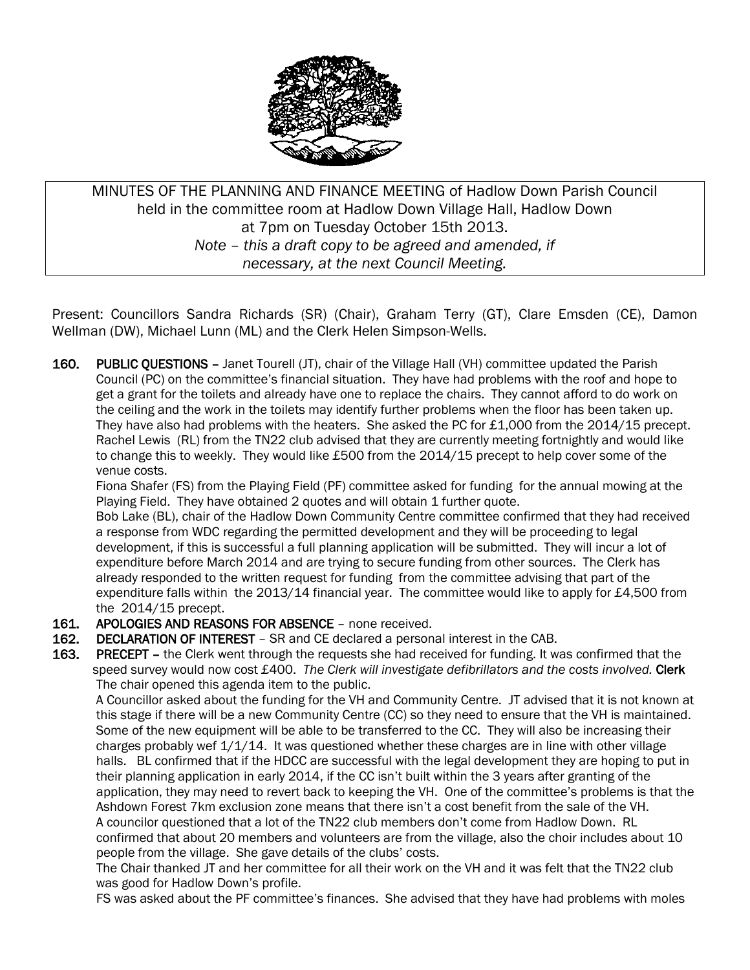

MINUTES OF THE PLANNING AND FINANCE MEETING of Hadlow Down Parish Council held in the committee room at Hadlow Down Village Hall, Hadlow Down at 7pm on Tuesday October 15th 2013. *Note – this a draft copy to be agreed and amended, if necessary, at the next Council Meeting.*

Present: Councillors Sandra Richards (SR) (Chair), Graham Terry (GT), Clare Emsden (CE), Damon Wellman (DW), Michael Lunn (ML) and the Clerk Helen Simpson-Wells.

160. PUBLIC QUESTIONS - Janet Tourell (JT), chair of the Village Hall (VH) committee updated the Parish Council (PC) on the committee's financial situation. They have had problems with the roof and hope to get a grant for the toilets and already have one to replace the chairs. They cannot afford to do work on the ceiling and the work in the toilets may identify further problems when the floor has been taken up. They have also had problems with the heaters. She asked the PC for £1,000 from the 2014/15 precept. Rachel Lewis (RL) from the TN22 club advised that they are currently meeting fortnightly and would like to change this to weekly. They would like £500 from the 2014/15 precept to help cover some of the venue costs.

 Fiona Shafer (FS) from the Playing Field (PF) committee asked for funding for the annual mowing at the Playing Field. They have obtained 2 quotes and will obtain 1 further quote.

 Bob Lake (BL), chair of the Hadlow Down Community Centre committee confirmed that they had received a response from WDC regarding the permitted development and they will be proceeding to legal development, if this is successful a full planning application will be submitted. They will incur a lot of expenditure before March 2014 and are trying to secure funding from other sources. The Clerk has already responded to the written request for funding from the committee advising that part of the expenditure falls within the 2013/14 financial year. The committee would like to apply for £4,500 from the 2014/15 precept.

- 161. APOLOGIES AND REASONS FOR ABSENCE none received.
- 162. DECLARATION OF INTEREST SR and CE declared a personal interest in the CAB.
- 163. PRECEPT the Clerk went through the requests she had received for funding. It was confirmed that the speed survey would now cost £400. *The Clerk will investigate defibrillators and the costs involved.* Clerk The chair opened this agenda item to the public.

 A Councillor asked about the funding for the VH and Community Centre. JT advised that it is not known at this stage if there will be a new Community Centre (CC) so they need to ensure that the VH is maintained. Some of the new equipment will be able to be transferred to the CC. They will also be increasing their charges probably wef  $1/1/14$ . It was questioned whether these charges are in line with other village halls. BL confirmed that if the HDCC are successful with the legal development they are hoping to put in their planning application in early 2014, if the CC isn't built within the 3 years after granting of the application, they may need to revert back to keeping the VH. One of the committee's problems is that the Ashdown Forest 7km exclusion zone means that there isn't a cost benefit from the sale of the VH. A councilor questioned that a lot of the TN22 club members don't come from Hadlow Down. RL confirmed that about 20 members and volunteers are from the village, also the choir includes about 10

people from the village. She gave details of the clubs' costs.

The Chair thanked JT and her committee for all their work on the VH and it was felt that the TN22 club was good for Hadlow Down's profile.

FS was asked about the PF committee's finances. She advised that they have had problems with moles